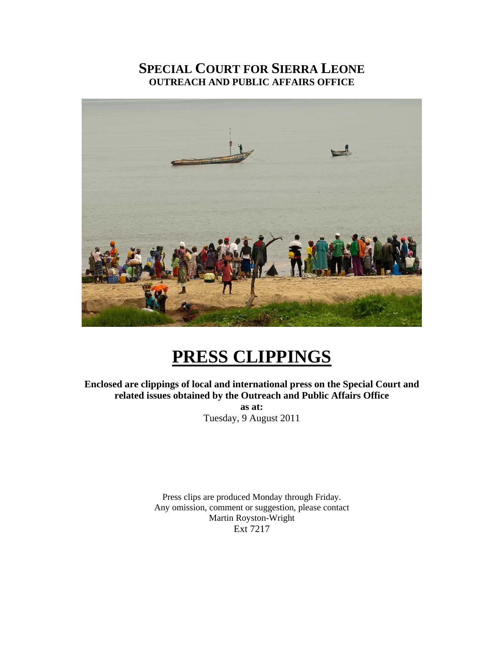### **SPECIAL COURT FOR SIERRA LEONE OUTREACH AND PUBLIC AFFAIRS OFFICE**



## **PRESS CLIPPINGS**

**Enclosed are clippings of local and international press on the Special Court and related issues obtained by the Outreach and Public Affairs Office as at:**  Tuesday, 9 August 2011

> Press clips are produced Monday through Friday. Any omission, comment or suggestion, please contact Martin Royston-Wright Ext 7217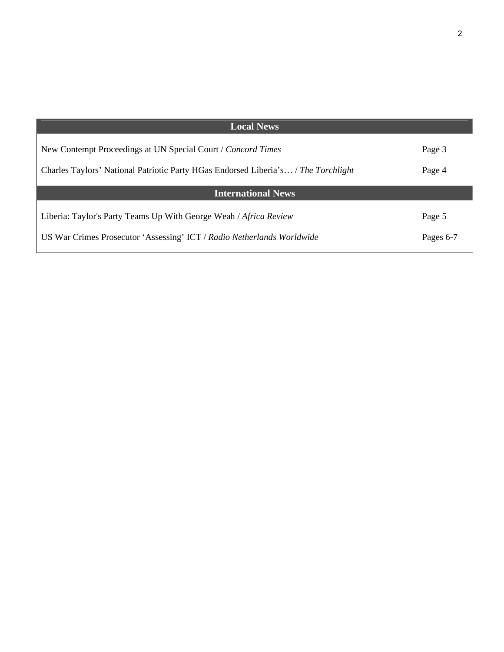| Pages 6-7 |
|-----------|
|           |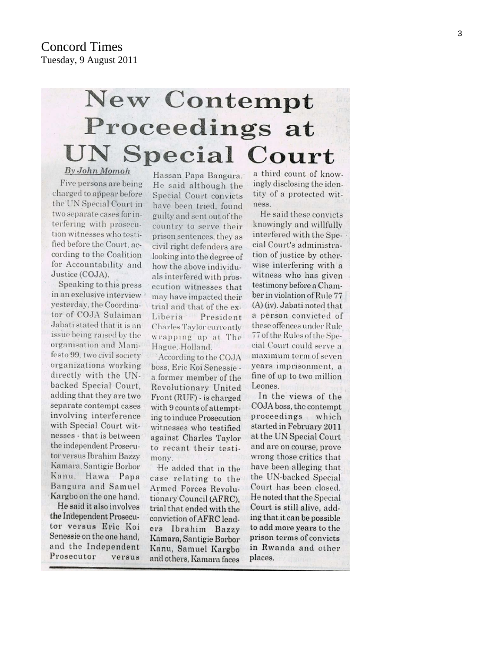# **New Contempt** Proceedings at **UN Special Court** By John Momoh

Five persons are being charged to appear before the UN Special Court in two separate cases for interfering with prosecution witnesses who testified before the Court, according to the Coalition for Accountability and Justice (COJA).

Speaking to this press in an exclusive interview > yesterday, the Coordinator of COJA Sulaiman Jabati stated that it is an issue being raised by the organisation and Manifesto 99, two civil society organizations working directly with the UNbacked Special Court. adding that they are two separate contempt cases involving interference with Special Court witnesses - that is between the independent Prosecutor versus Ibrahim Bazzy Kamara, Santigie Borbor Kanu. Hawa Papa Bangura and Samuel Kargbo on the one hand.

He said it also involves the Independent Prosecutor versus Eric Koi Senessie on the one hand, and the Independent Prosecutor versus

Hassan Papa Bangura. He said although the Special Court convicts have been tried, found guilty and sent out of the country to serve their prison sentences, they as civil right defenders are looking into the degree of how the above individuals interfered with prosecution witnesses that may have impacted their trial and that of the ex-Liberia President Charles Taylor currently wrapping up at The Hague. Holland.

According to the COJA boss, Eric Koi Senessie a former member of the Revolutionary United Front (RUF) - is charged with 9 counts of attempting to induce Prosecution witnesses who testified against Charles Taylor to recant their testimony.

He added that in the case relating to the Armed Forces Revolutionary Council (AFRC), trial that ended with the conviction of AFRC leaders Ibrahim Bazzy Kamara, Santigie Borbor Kanu, Samuel Kargbo and others, Kamara faces a third count of knowingly disclosing the identity of a protected witness.

He said these convicts knowingly and willfully interfered with the Special Court's administration of justice by otherwise interfering with a witness who has given testimony before a Chamber in violation of Rule 77 (A) (iv). Jabati noted that a person convicted of these offences under Rule 77 of the Rules of the Special Court could serve a maximum term of seven years imprisonment, a fine of up to two million Leones.

In the views of the COJA boss, the contempt proceedings which started in February 2011 at the UN Special Court and are on course, prove wrong those critics that have been alleging that the UN-backed Special Court has been closed. He noted that the Special Court is still alive, adding that it can be possible to add more years to the prison terms of convicts in Rwanda and other places.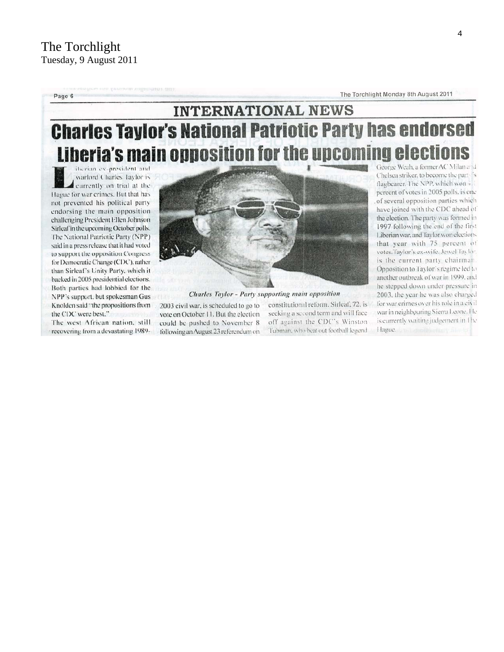Page 6

The Torchlight Monday 8th August 2011

## **INTERNATIONAL NEWS Charles Taylor's National Patriotic Party has endorsed** Liberia's main opposition for the upcoming elect

iberian ex-president and warlord Charles Taylor is currently on trial at the Hague for war crimes. But that has not prevented his political party endorsing the main opposition challenging President Ellen Johnson Sirleaf in the upcoming October polls. The National Patriotic Party (NPP) said in a press release that it had voted to support the opposition Congress for Democratic Change (CDC), rather than Sirleaf's Unity Party, which it backed in 2005 presidential elections. Both parties had lobbied for the NPP's support, but spokesman Gus Knolden said "the propositions from the CDC were best."

The west African nation, still recovering from a devastating 1989-



**Charles Taylor - Party supporting main opposition** 

2003 civil war, is scheduled to go to vote on October 11. But the election could be pushed to November 8 following an August 23 referendum on constitutional reform. Sirleaf, 72, is seeking a second term and will face off against the CDC's Winston Tubman, who beat out football legend George Weah, a former AC Milan and Chelsea striker, to become the part is flagbearer. The NPP, which won 4 1 percent of votes in 2005 polls, is one of several opposition parties which have joined with the CDC ahead of the election. The party was formed in 1997 following the end of the first Liberian war, and Taylor won elections that year with 75 percent of votes.Taylor's ex-wife, Jewel Taylor. is the current party chairman. Opposition to Taylor's regime led to another outbreak of war in 1999, and he stepped down under pressure in 2003, the year he was also charged for war crimes over his role in a civil war in neighbouring Sierra Leone. He is currently waiting judgement in The Hague.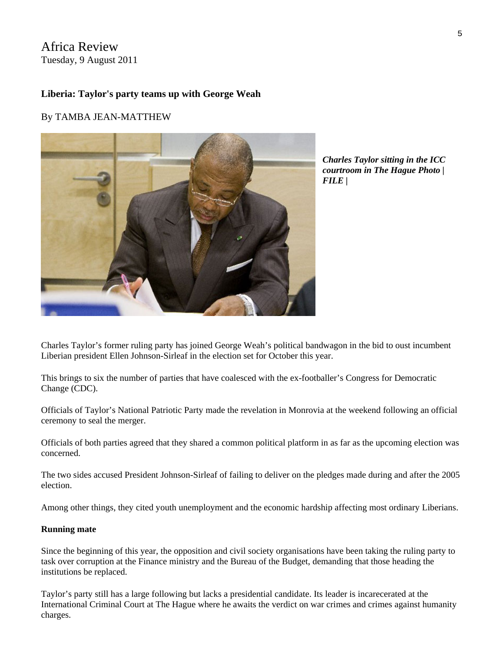Africa Review Tuesday, 9 August 2011

#### **Liberia: Taylor's party teams up with George Weah**

#### By TAMBA JEAN-MATTHEW



*Charles Taylor sitting in the ICC courtroom in The Hague Photo | FILE |* 

Charles Taylor's former ruling party has joined George Weah's political bandwagon in the bid to oust incumbent Liberian president Ellen Johnson-Sirleaf in the election set for October this year.

This brings to six the number of parties that have coalesced with the ex-footballer's Congress for Democratic Change (CDC).

Officials of Taylor's National Patriotic Party made the revelation in Monrovia at the weekend following an official ceremony to seal the merger.

Officials of both parties agreed that they shared a common political platform in as far as the upcoming election was concerned.

The two sides accused President Johnson-Sirleaf of failing to deliver on the pledges made during and after the 2005 election.

Among other things, they cited youth unemployment and the economic hardship affecting most ordinary Liberians.

#### **Running mate**

Since the beginning of this year, the opposition and civil society organisations have been taking the ruling party to task over corruption at the Finance ministry and the Bureau of the Budget, demanding that those heading the institutions be replaced.

Taylor's party still has a large following but lacks a presidential candidate. Its leader is incarecerated at the International Criminal Court at The Hague where he awaits the verdict on war crimes and crimes against humanity charges.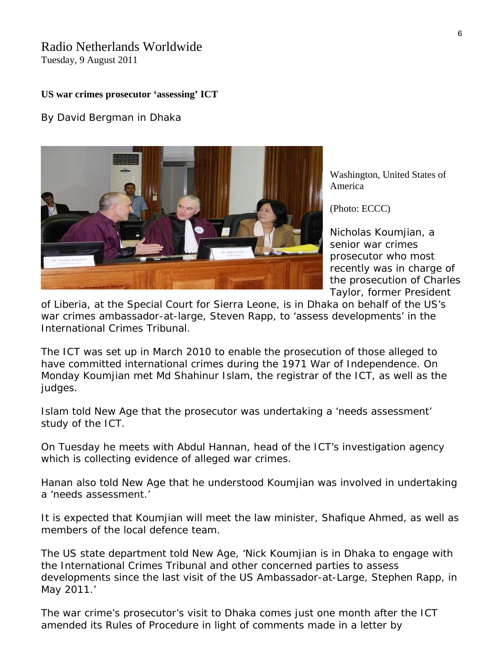### Radio Netherlands Worldwide

Tuesday, 9 August 2011

#### **US war crimes prosecutor 'assessing' ICT**

By David Bergman in Dhaka



Washington, United States of America

([Photo: ECCC\)](http://www.eccc.gov.kh/)

*Nicholas Koumjian, a senior war crimes prosecutor who most recently was in charge of the prosecution of Charles Taylor, former President* 

*of Liberia, at the Special Court for Sierra Leone, is in Dhaka on behalf of the US's war crimes ambassador-at-large, Steven Rapp, to 'assess developments' in the International Crimes Tribunal.*

The ICT was set up in March 2010 to enable the prosecution of those alleged to have committed international crimes during the 1971 War of Independence. On Monday Koumjian met Md Shahinur Islam, the registrar of the ICT, as well as the judges.

Islam told New Age that the prosecutor was undertaking a 'needs assessment' study of the ICT.

On Tuesday he meets with Abdul Hannan, head of the ICT's investigation agency which is collecting evidence of alleged war crimes.

Hanan also told New Age that he understood Koumjian was involved in undertaking a 'needs assessment.'

It is expected that Koumjian will meet the law minister, Shafique Ahmed, as well as members of the local defence team.

The US state department told New Age, 'Nick Koumjian is in Dhaka to engage with the International Crimes Tribunal and other concerned parties to assess developments since the last visit of the US Ambassador-at-Large, Stephen Rapp, in May 2011.'

The war crime's prosecutor's visit to Dhaka comes just one month after the ICT amended its Rules of Procedure in light of comments made in a letter by